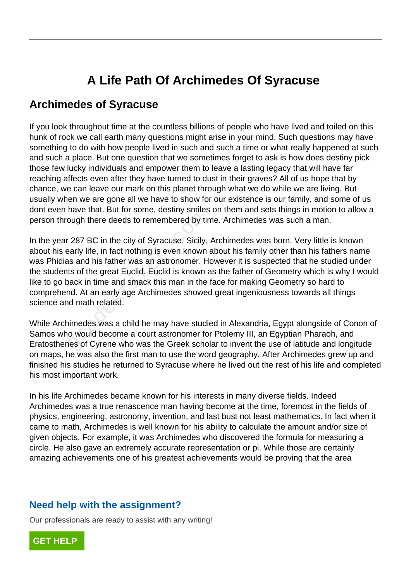## **A Life Path Of Archimedes Of Syracuse**

## **Archimedes of Syracuse**

If you look throughout time at the countless billions of people who have lived and toiled on this hunk of rock we call earth many questions might arise in your mind. Such questions may have something to do with how people lived in such and such a time or what really happened at such and such a place. But one question that we sometimes forget to ask is how does destiny pick those few lucky individuals and empower them to leave a lasting legacy that will have far reaching affects even after they have turned to dust in their graves? All of us hope that by chance, we can leave our mark on this planet through what we do while we are living. But usually when we are gone all we have to show for our existence is our family, and some of us dont even have that. But for some, destiny smiles on them and sets things in motion to allow a person through there deeds to remembered by time. Archimedes was such a man.

In the year 287 BC in the city of Syracuse, Sicily, Archimedes was born. Very little is known about his early life, in fact nothing is even known about his family other than his fathers name was Phidias and his father was an astronomer. However it is suspected that he studied under the students of the great Euclid. Euclid is known as the father of Geometry which is why I would like to go back in time and smack this man in the face for making Geometry so hard to comprehend. At an early age Archimedes showed great ingeniousness towards all things science and math related. ough there deeds to remembered by tirtlet and the city of Syracuse, Sicily, early life, in fact nothing is even known as and his father was an astronomer. Here the great Euclid. Euclid is known and the great Euclid. Euclid

While Archimedes was a child he may have studied in Alexandria, Egypt alongside of Conon of Samos who would become a court astronomer for Ptolemy III, an Egyptian Pharaoh, and Eratosthenes of Cyrene who was the Greek scholar to invent the use of latitude and longitude on maps, he was also the first man to use the word geography. After Archimedes grew up and finished his studies he returned to Syracuse where he lived out the rest of his life and completed his most important work.

In his life Archimedes became known for his interests in many diverse fields. Indeed Archimedes was a true renascence man having become at the time, foremost in the fields of physics, engineering, astronomy, invention, and last bust not least mathematics. In fact when it came to math, Archimedes is well known for his ability to calculate the amount and/or size of given objects. For example, it was Archimedes who discovered the formula for measuring a circle. He also gave an extremely accurate representation or pi. While those are certainly amazing achievements one of his greatest achievements would be proving that the area

## **Need help with the assignment?**

Our professionals are ready to assist with any writing!